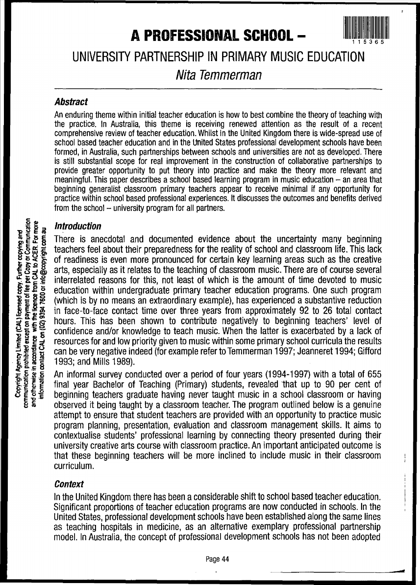# **A PROFESSIONAL SCHOOL -**



UNIVERSITY PARTNERSHIP IN PRIMARY MUSIC EDUCATION

# Nita Temmerman

#### **Abstract**

An enduring theme within initial teacher education is how to best combine the theory of teaching with the practice. In Australia, this theme is receiving renewed attention as the result of a recent comprehensive review of teacher education. Whilst in the United Kingdom there is wide-spread use of school based teacher education and in the United States professional development schools have been formed, in Australia, such partnerships between schools and universities are not as developed. There is still substantial scope for real improvement in the construction of collaborative partnerships to provide greater opportunity to put theory into practice and make the theory more relevant and meaningful. This paper describes a school based learning program in music education  $-$  an area that beginning generalist classroom primary teachers appear to receive minimal if any opportunity for practice within school based professional experiences. It discusses the outcomes and benefits derived from the school  $-$  university program for all partners.

#### Introduction

There is anecdotal and documented evidence about the uncertainty many beginning teachers feel about their preparedness for the reality of school and classroom life. This lack of readiness is even more pronounced for certain key learning areas such as the creative arts, especially as it relates to the teaching of classroom music. There are of course several interrelated reasons for this, not least of which is the amount of time devoted to music education within undergraduate primary teacher education programs. One such program (which is by no means an extraordinary example), has experienced a substantive reduction in face-to-face contact time over three years from approximately 92 to 26 total contact hours. This has been shown to contribute negatively to beginning teachers' level of confidence and/or knowledge to teach music. When the latter is exacerbated by a lack of resources for and low priority given to music within some primary school curricula the results can be very negative indeed (for example refer to Temmerman 1997; Jeanneret 1994; Gifford 1993; and Mills 1989).

An informal survey conducted over a period of four years (1994-1997) with a total of 655 final year Bachelor of Teaching (Primary) students, revealed 'that up to 90 per cent of beginning teachers graduate having never taught music in a school classroom or having observed it being taught by a classroom teacher. The program outlined below is a genuine attempt to ensure that student teachers are provided with an opportunity to practice music program planning, presentation, evaluation and classroom management skills. It aims to contextualise students' professional learning by connecting theory presented during their university creative arts course with classroom practice. An important anticipated outcome is that these beginning teachers will be more inclined to include music in their classroom curriculum.

## **Context**

In the United Kingdom there has been a considerable shift to school based teacher education. Significant proportions of teacher education programs are now conducted in schools. In the United States. professional development schools have been established along the same lines as teaching hospitals in medicine, as an alternative exemplary professional partnership model. In Australia, the concept of professional development schools has not been adopted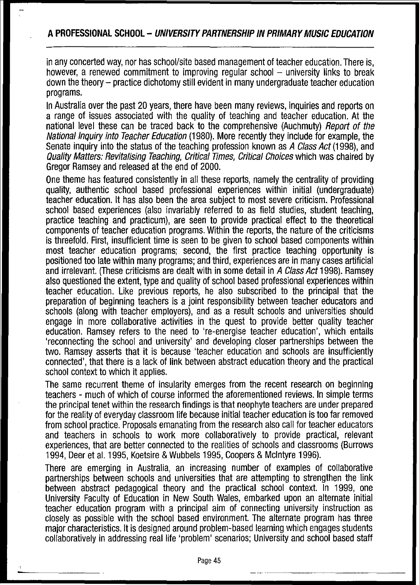in any concerted way, nor has school/site based management of teacher education. There is, however, a renewed commitment to improving regular school  $-$  university links to break down the theory - practice dichotomy still evident in many undergraduate teacher education programs.

In Australia over the past 20 years, there have been many reviews, inquiries and reports on a range of issues associated with the quality of teaching and teacher education. At the national level these can be traced back to the comprehensive (Auchmuty) Report of the National Inquiry into Teacher Education (1980). More recently they include for example, the Senate inquiry into the status of the teaching profession known as A Class Act (1998), and Quality Matters: Revitalising Teaching, Critical Times, Critical Choices which was chaired by Gregor Ramsey and released at the end of 2000.

One theme has featured consistently in all these reports, namely ihe centrality of providing quality, authentic school based professional experiences within initial (undergraduate) teacher education. It has also been the area subject to most severe criticism. Professional school based experiences (also invariably referred to as field studies, student teaching, practice teaching and practicum), are seen to provide practical effect to the theoretical components of teacher education programs. Within the reports, the nature of the criticisms is threefold. First, insufficient time is seen to be given to school based components within most teacher education programs; second, the first practice teaching opportunity is positioned too late within many programs; and third, experiences are in many cases artificial and irrelevant. (These criticisms are dealt with in some detail in A Class Act 1998). Ramsey also questioned the extent, type and quality of school based professional experiences within teacher education. Like previous reports, he also subscribed to the principal that the preparation of beginning teachers is a joint responsibility between teacher educators and schools (along with teacher employers), and as a result schools and universities should engage in more collaborative activities in the quest to provide better quality teacher education. Ramsey refers to the need to 're-energise teacher education', which entails 'reconnecting the school and university' and developing closer partnerships between the two. Ramsey asserts that it is because 'teacher education and schools are insufficiently connected', that there is a lack of link between abstract education theory and the practical school context to which it applies.

The same recurrent theme of insularity emerges from the recent research on beginning teachers - much of which of course informed the aforementioned reviews. In simple terms the principal tenet within the research findings is that neophyte teachers are under prepared for the reality of everyday classroom life because initial teacher education is too far removed from school practice. Proposals emanating from the research also call for teacher educators and teachers in schools to work more collaboratively to provide practical, relevant experiences, that are better connected to the realities of schools and classrooms (Burrows 1994, Deer et al. 1995, Koetsire & Wubbels 1995, Coopers & McIntyre 1996).

There are emerging in Australia, an increasing number of examples of collaborative partnerships between schools and universities that are attempting to strengthen the link between abstract pedagogical theory and the practical school context. In 1999, one University Faculty of Education in New South Wales, embarked upon an alternate initial teacher education program with a principal aim of connecting university instruction as closely as possible with the school based environment. The alternate program has three major characteristics. It is designed around problem-based learning which engages students collaboratively in addressing real life 'problem' scenarios; University and school based staff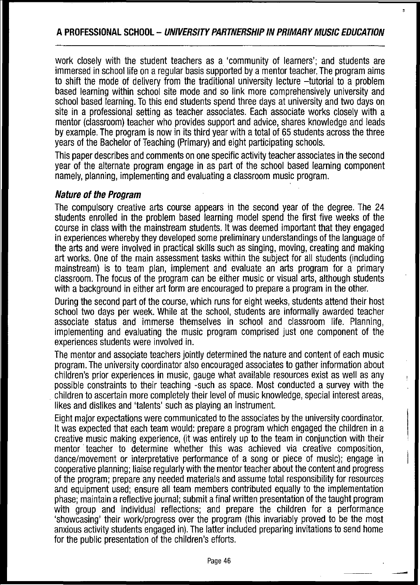## **APROFESSIONAL SCHOOL - UNIVERSITY PARTNERSHIP IN PRIMARY MUSIC EDUCATION**

work closely with the student teachers as a 'community of learners'; and students are immersed in school life on a regular basis supported by a mentor teacher. The program aims to shift the mode of delivery from the traditional university lecture -tutorial to a problem based learning within school site mode and so link more comprehensively university and school based learning. To this end students spend three days at university and two days on site in a professional setting as teacher associates. Each associate works closely with a mentor (classroom) teacher who provides support and advice, shares knowledge and leads by example. The program is now in its third year with a total of 65 students across the three years of the Bachelor of Teaching (Primary) and eight participating schools.

This paper describes and comments on one specific activity teacher associates in the second year of the alternate program engage in as part of the school based learning component namely, planning, implementing and evaluating a classroom music program.

## **Nature** of the **Program**

The compulsory creative arts course appears in the second year of the degree. The 24 students enrolled in the problem based learning model spend the first five weeks of the course in class with the mainstream students. It was deemed important that they engaged in experiences whereby they developed some preliminary understandings ofthe language of the arts and were involved in practical skills such as singing, moving, creating and making art works. One of the main assessment tasks within the subject for all students (including mainstream) is to team plan, implement and evaluate an arts program for a primary classroom. The focus of the program can be either music or visual arts, although students with a background in either art form are encouraged to prepare a program in the other.

During the second part of the course, which runs for eight weeks, students attend their host school two days per week. While at the school, students are informally awarded teacher associate status and immerse themselves in school and classroom life. Planning, implementing and evaluating the music program comprised just one component of the experiences students were involved in.

The mentor and associate teachers jointly determined the nature and content of each music program. The university coordinator also encouraged associates to gather information about children's prior experiences in music, gauge what available resources exist as well as any possible constraints to their teaching -such as space. Most conducted a survey with the . children to ascertain more completely their level of music knowledge, special interest areas, likes and dislikes and 'talents' such as playing an instrument.

Eight major expectations were communicated to the associates by the university coordinator. It was expected that each team would: prepare a program which engaged the children in a creative music making experience, (it was entirely up to the team in conjunction with their mentor teacher to determine whether this was achieved via creative composition, dance/movement or interpretative performance of a song or piece of music); engage in cooperative planning; liaise regularly with the mentor teacher about the content and progress of the program; prepare any needed materials and assume total responsibility for resources and equipment used; ensure all team members contributed equally to the implementation phase; maintain areflective journal; submit afinal written presentation of the taught program with group and individual reflections; and prepare the children for a performance 'showcasing' their work/progress over the program (this invariably proved to be the most anxious activity students engaged in). The latter included preparing invitations to send home for the public presentation of the children's efforts.

-

 $\mathbf{r}$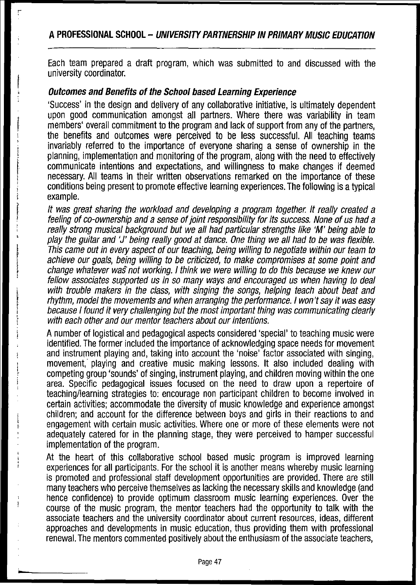## **APROFESSIONAL SCHOOL - UNIVERSITY PARTNERSHIP INPRIMARY MUSIC EDUCATION**

Each team prepared a draft program, which was submitted to and discussed with the university coordinator.

## **Outcomes and Benefits ofthe School based Learning Experience**

i ! ,

 $\mathbf{i}$ l t i , !

'Success' in the design and delivery of any collaborative initiative, is ultimately dependent upon good communication amongst all partners. Where there was variability in team members' overall commitment to the program and lack of support from any of the partners, the benefits and outcomes were perceived to be less successful. All teaching teams invariably referred to the importance of everyone sharing a sense of ownership in the planning, implementation and monitoring of the program, along with the need to effectively communicate intentions and expectations, and willingness to make changes if deemed necessary. All teams in their written observations remarked on the importance of these conditions being present to promote effective learning experiences. The following is a typical example.

It was great sharing the workload and developing a program together. It really created a feeling of co-ownership and a sense of joint responsibility for its success. None of us had a really strong musical background but we all had particular strengths like 'M' being able to play the guitar and 'J' being really good at dance. One thing we all had to be was flexible. This came out in every aspect of our teaching, being willing to negotiate within our team to achieve our goals, being willing to be criticized, to make compromises at some point and change whatever wa§ not working. / think we were willing to do this because we knew our fellow associates supported us in so many ways and encouraged us when having to deal with trouble makers in the class, with singing the songs, helping teach about beat and rhythm, model the movements and when arranging the performance. I won't say it was easy because I found it very challenging but the most important thing was communicating clearly with each other and our mentor teachers about our intentions.

A number of logistical and pedagogical aspects considered 'special' to teaching music were identified. The former included the importance of acknowledging space needs for movement and instrument playing and, taking into account the 'noise' factor associated with singing, movement,' playing and creative music making lessons. It also included dealing with competing group 'sounds' of singing, instrument playing, and children moving within the one area. Specific pedagogical issues focused on the need to draw upon a repertoire of teaching/learning strategies to: encourage non participant children to become involved in certain activities; accommodate the diversity of music knowledge and experience amongst children; and account for the difference between boys and girls in their reactions to and engagement with certain music activities. Where one or more of these elements were not adequately catered for in the planning stage, they were perceived to hamper successful implementation of the program.

At the heart of this collaborative school based music program is improved learning experiences for all participants. For the school it is another means whereby music learning is promoted and professional staff development opportunities are provided. There are still many teachers who perceive themselves as lacking the necessary skills and knowledge (and hence confidence) to provide optimum classroom music learning experiences. Over the course of the music program, the mentor teachers had the opportunity to talk with the associate teachers and the university coordinator about current resources, ideas, different approaches and developments in music education, thus providing them with professional renewal. The mentors commented positively about the enthusiasm of the associate teachers,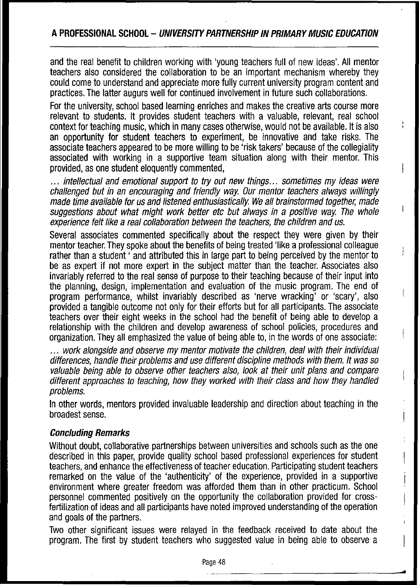and the real benefit to children working with 'young teachers full of new ideas'. All mentor teachers also considered the collaboration to be an important mechanism whereby they could come to understand and appreciate more fully current university program content and practices. The latter augurs well for continued involvement in future such collaborations.

For the university, school based learning enriches and makes the creative arts course more relevant to students. It provides student teachers with a valuable, relevant, real school context for teaching music, which in many cases otherwise, would not be available. It is also an opportunity for student teachers to experiment, be innovative and take risks. The associate teachers appeared to be more willing to be 'risk takers' because of the collegiality associated with working in a supportive team situation along with their mentor. This provided, as one student eloquently commented,

... intellectual and emotional support to try out new things... sometimes my ideas were challenged but in an encouraging and friendly way. Our mentor teachers always willingly made time available for us and listened enthusiastically. We all brainstormed together, made suggestions about what might work better etc but always in a positive way: The whole experience felt like a real collaboration between the teachers, the children and us.

Several associates commented specifically about the respect they were given by their mentor teacher. They spoke about the benefits of being treated 'like a professional colleague rather than a student ' and attributed this in large part to being perceived by the mentor to be as expert if not more expert in the subject matter than the teacher. Associates also invariably referred to the real sense of purpose to their teaching because of their input into the planning, design, implementation and evaluation of the music program. The end of program performance, whilst invariably described as 'nerve wracking' or 'scary', also provided atangible outcome not only for their efforts but for all participants. The associate teachers over their eight weeks in the school had the benefit of being able to develop a relationship with the children and develop awareness of school policies, procedures and organization. They all emphasized the value of being able to, in the words ofone associate:

... work alongside and observe my mentor motivate the children, deal with their individual differences, handle their problems and use different discipline methods with them. It was so valuable being able to observe other teachers also, look at their unit plans and compare different approaches to teaching, how they worked with their class and how they handled problems.

In other words, mentors provided invaluable leadership and direction about teaching in the broadest sense.

## **Concluding Remarks**

Without doubt, collaborative partnerships between universities and schools such as the one described in this paper, provide quality school based professional experiences for student teachers, and enhance the effectiveness of teacher education. Participating student teachers remarked on the value of the 'authenticity' of the experience, provided in a supportive environment where greater freedom was afforded them than in other practicum. School personnel commented positively on the opportunity the collaboration provided for crossfertilization of ideas and all participants have noted improved understanding of the operation and goals of the partners.

Two other significant issues were relayed in the feedback received to date about the program. The first by student teachers who suggested value in being able to observe a

**..**

ŧ